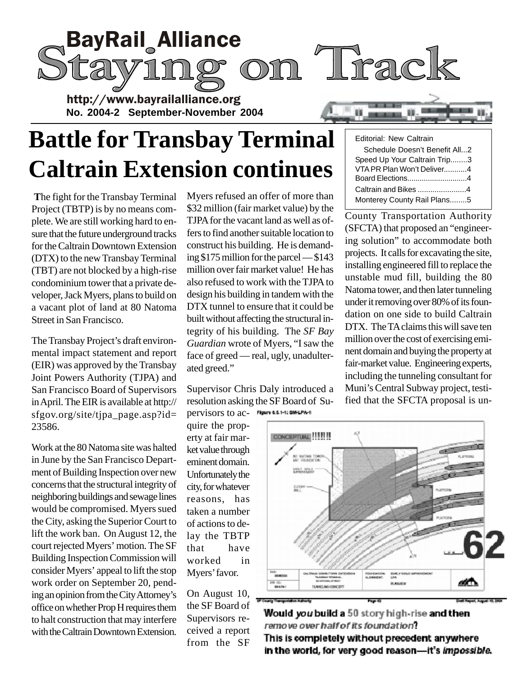

# **Battle for Transbay Terminal Caltrain Extension continues**

**T**he fight for the Transbay Terminal Project (TBTP) is by no means complete. We are still working hard to ensure that the future underground tracks for the Caltrain Downtown Extension (DTX) to the new Transbay Terminal (TBT) are not blocked by a high-rise condominium tower that a private developer, Jack Myers, plans to build on a vacant plot of land at 80 Natoma Street in San Francisco.

The Transbay Project's draft environmental impact statement and report (EIR) was approved by the Transbay Joint Powers Authority (TJPA) and San Francisco Board of Supervisors in April. The EIR is available at http:// sfgov.org/site/tjpa\_page.asp?id= 23586.

Work at the 80 Natoma site was halted in June by the San Francisco Department of Building Inspection over new concerns that the structural integrity of neighboring buildings and sewage lines would be compromised. Myers sued the City, asking the Superior Court to lift the work ban. On August 12, the court rejected Myers' motion. The SF Building Inspection Commission will consider Myers' appeal to lift the stop work order on September 20, pending an opinion from the City Attorney's office on whether Prop H requires them to halt construction that may interfere with the Caltrain Downtown Extension.

Myers refused an offer of more than \$32 million (fair market value) by the TJPA for the vacant land as well as offers to find another suitable location to construct his building. He is demanding \$175 million for the parcel — \$143 million over fair market value! He has also refused to work with the TJPA to design his building in tandem with the DTX tunnel to ensure that it could be built without affecting the structural integrity of his building. The *SF Bay Guardian* wrote of Myers, "I saw the face of greed — real, ugly, unadulterated greed."

Supervisor Chris Daly introduced a resolution asking the SF Board of Supervisors to ac-

quire the property at fair market value through eminent domain. Unfortunately the city, for whatever reasons, has taken a number of actions to delay the TBTP that have worked in Myers' favor.

On August 10, the SF Board of Supervisors received a report from the SF

| Editorial: New Caltrain |  |  |
|-------------------------|--|--|
|-------------------------|--|--|

| Schedule Doesn't Benefit All2 |  |
|-------------------------------|--|
| Speed Up Your Caltrain Trip3  |  |
| VTA PR Plan Won't Deliver4    |  |
| Board Elections4              |  |
| Caltrain and Bikes 4          |  |
| Monterey County Rail Plans5   |  |

County Transportation Authority (SFCTA) that proposed an "engineering solution" to accommodate both projects. It calls for excavating the site, installing engineered fill to replace the unstable mud fill, building the 80 Natoma tower, and then later tunneling under it removing over 80% of its foundation on one side to build Caltrain DTX. The TA claims this will save ten million over the cost of exercising eminent domain and buying the property at fair-market value. Engineering experts, including the tunneling consultant for Muni's Central Subway project, testified that the SFCTA proposal is un-



Would you build a 50 story high-rise and then remove over half of its foundation? This is completely without precedent anywhere in the world, for very good reason-it's impossible.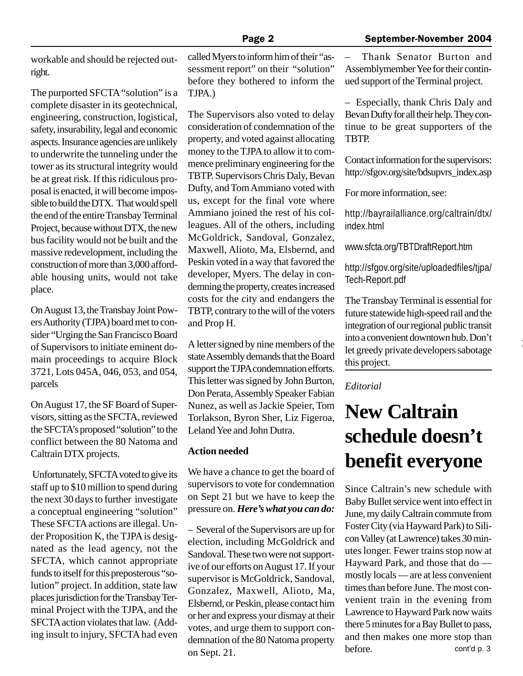workable and should be rejected outright.

The purported SFCTA "solution" is a complete disaster in its geotechnical, engineering, construction, logistical, safety, insurability, legal and economic aspects. Insurance agencies are unlikely to underwrite the tunneling under the tower as its structural integrity would be at great risk. If this ridiculous proposal is enacted, it will become impossible to build the DTX. That would spell the end of the entire Transbay Terminal Project, because without DTX, the new bus facility would not be built and the massive redevelopment, including the construction of more than 3,000 affordable housing units, would not take place.

On August 13, the Transbay Joint Powers Authority (TJPA) board met to consider "Urging the San Francisco Board of Supervisors to initiate eminent domain proceedings to acquire Block 3721, Lots 045A, 046, 053, and 054, parcels

On August 17, the SF Board of Supervisors, sitting as the SFCTA, reviewed the SFCTA's proposed "solution" to the conflict between the 80 Natoma and Caltrain DTX projects.

 Unfortunately, SFCTA voted to give its staff up to \$10 million to spend during the next 30 days to further investigate a conceptual engineering "solution" These SFCTA actions are illegal. Under Proposition K, the TJPA is designated as the lead agency, not the SFCTA, which cannot appropriate funds to itself for this preposterous "solution" project. In addition, state law places jurisdiction for the Transbay Terminal Project with the TJPA, and the SFCTA action violates that law. (Adding insult to injury, SFCTA had even

called Myers to inform him of their "assessment report" on their "solution" before they bothered to inform the TJPA.)

The Supervisors also voted to delay consideration of condemnation of the property, and voted against allocating money to the TJPA to allow it to commence preliminary engineering for the TBTP. Supervisors Chris Daly, Bevan Dufty, and Tom Ammiano voted with us, except for the final vote where Ammiano joined the rest of his colleagues. All of the others, including McGoldrick, Sandoval, Gonzalez, Maxwell, Alioto, Ma, Elsbernd, and Peskin voted in a way that favored the developer, Myers. The delay in condemning the property, creates increased costs for the city and endangers the TBTP, contrary to the will of the voters and Prop H.

A letter signed by nine members of the state Assembly demands that the Board support the TJPA condemnation efforts. This letter was signed by John Burton, Don Perata, Assembly Speaker Fabian Nunez, as well as Jackie Speier, Tom Torlakson, Byron Sher, Liz Figeroa, Leland Yee and John Dutra.

#### **Action needed**

We have a chance to get the board of supervisors to vote for condemnation on Sept 21 but we have to keep the pressure on. *Here's what you can do:*

– Several of the Supervisors are up for election, including McGoldrick and Sandoval. These two were not supportive of our efforts on August 17. If your supervisor is McGoldrick, Sandoval, Gonzalez, Maxwell, Alioto, Ma, Elsbernd, or Peskin, please contact him or her and express your dismay at their votes, and urge them to support condemnation of the 80 Natoma property on Sept. 21.

– Thank Senator Burton and Assemblymember Yee for their continued support of the Terminal project.

– Especially, thank Chris Daly and Bevan Dufty for all their help. They continue to be great supporters of the TBTP.

Contact information for the supervisors: http://sfgov.org/site/bdsupvrs\_index.asp

For more information, see:

http://bayrailalliance.org/caltrain/dtx/ index.html

www.sfcta.org/TBTDraftReport.htm

http://sfgov.org/site/uploadedfiles/tjpa/ Tech-Report.pdf

The Transbay Terminal is essential for future statewide high-speed rail and the integration of our regional public transit into a convenient downtown hub. Don't let greedy private developers sabotage this project.

#### *Editorial*

# **New Caltrain schedule doesn't benefit everyone**

Since Caltrain's new schedule with Baby Bullet service went into effect in June, my daily Caltrain commute from Foster City (via Hayward Park) to Silicon Valley (at Lawrence) takes 30 minutes longer. Fewer trains stop now at Hayward Park, and those that do mostly locals — are at less convenient times than before June. The most convenient train in the evening from Lawrence to Hayward Park now waits there 5 minutes for a Bay Bullet to pass, and then makes one more stop than before. cont'd p. 3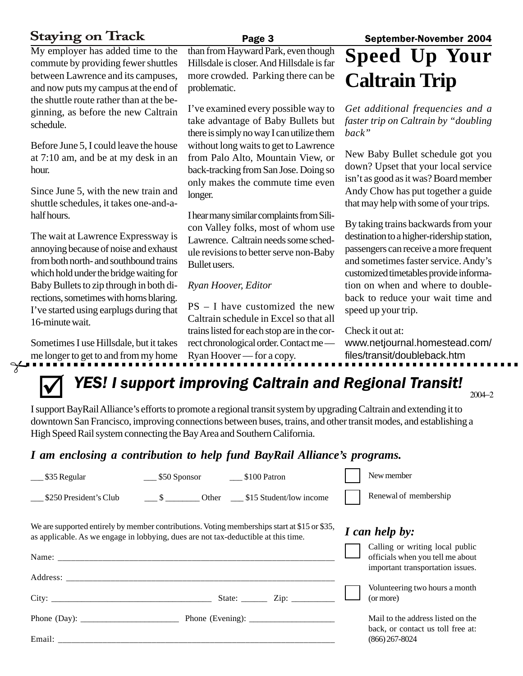## **Staying on Track**

My employer has added time to the commute by providing fewer shuttles between Lawrence and its campuses, and now puts my campus at the end of the shuttle route rather than at the beginning, as before the new Caltrain schedule.

Before June 5, I could leave the house at 7:10 am, and be at my desk in an hour.

Since June 5, with the new train and shuttle schedules, it takes one-and-ahalf hours.

The wait at Lawrence Expressway is annoying because of noise and exhaust from both north- and southbound trains which hold under the bridge waiting for Baby Bullets to zip through in both directions, sometimes with horns blaring. I've started using earplugs during that 16-minute wait.

Sometimes I use Hillsdale, but it takes me longer to get to and from my home

 $\sim$   $\sim$ 

than from Hayward Park, even though Hillsdale is closer. And Hillsdale is far more crowded. Parking there can be problematic.

I've examined every possible way to take advantage of Baby Bullets but there is simply no way I can utilize them without long waits to get to Lawrence from Palo Alto, Mountain View, or back-tracking from San Jose. Doing so only makes the commute time even longer.

I hear many similar complaints from Silicon Valley folks, most of whom use Lawrence. Caltrain needs some schedule revisions to better serve non-Baby Bullet users.

### *Ryan Hoover, Editor*

PS – I have customized the new Caltrain schedule in Excel so that all trains listed for each stop are in the correct chronological order. Contact me — Ryan Hoover — for a copy.

# **Speed Up Your Caltrain Trip**

*Get additional frequencies and a faster trip on Caltrain by "doubling back"*

New Baby Bullet schedule got you down? Upset that your local service isn't as good as it was? Board member Andy Chow has put together a guide that may help with some of your trips.

By taking trains backwards from your destination to a higher-ridership station, passengers can receive a more frequent and sometimes faster service. Andy's customized timetables provide information on when and where to doubleback to reduce your wait time and speed up your trip.

Check it out at:

 $\blacksquare$ ٦

www.netjournal.homestead.com/ files/transit/doubleback.htm

# ; *YES! I support improving Caltrain and Regional Transit!*

I support BayRail Alliance's efforts to promote a regional transit system by upgrading Caltrain and extending it to downtown San Francisco, improving connections between buses, trains, and other transit modes, and establishing a High Speed Rail system connecting the Bay Area and Southern California.

### *I am enclosing a contribution to help fund BayRail Alliance's programs.*

| \$35 Regular                                                                                                                                                                       | ____ \$50 Sponsor ________ \$100 Patron                          |  |                    |  | New member                                                                                              |  |  |
|------------------------------------------------------------------------------------------------------------------------------------------------------------------------------------|------------------------------------------------------------------|--|--------------------|--|---------------------------------------------------------------------------------------------------------|--|--|
| \$250 President's Club                                                                                                                                                             | $\frac{\$}{\$}$ Other $\frac{\$15 \text{ Student/low income}}{}$ |  |                    |  | Renewal of membership                                                                                   |  |  |
| We are supported entirely by member contributions. Voting memberships start at \$15 or \$35,<br>as applicable. As we engage in lobbying, dues are not tax-deductible at this time. |                                                                  |  |                    |  | I can help by:                                                                                          |  |  |
|                                                                                                                                                                                    |                                                                  |  |                    |  | Calling or writing local public<br>officials when you tell me about<br>important transportation issues. |  |  |
| Address:                                                                                                                                                                           |                                                                  |  |                    |  |                                                                                                         |  |  |
|                                                                                                                                                                                    |                                                                  |  | State: <u>Zip:</u> |  | Volunteering two hours a month<br>(or more)                                                             |  |  |
|                                                                                                                                                                                    |                                                                  |  |                    |  | Mail to the address listed on the<br>back, or contact us toll free at:                                  |  |  |
|                                                                                                                                                                                    |                                                                  |  |                    |  | $(866)$ 267-8024                                                                                        |  |  |

#### Page 3 September-November 2004

2004−2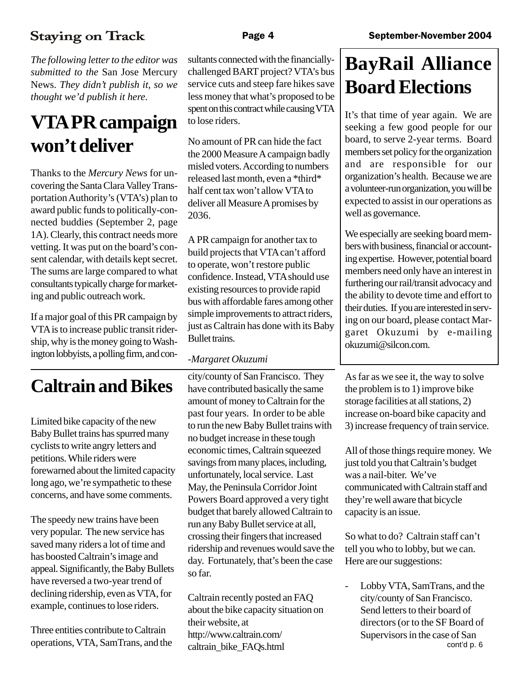## **Staying on Track**

*The following letter to the editor was submitted to the* San Jose Mercury News*. They didn't publish it, so we thought we'd publish it here.*

# **VTA PR campaign won't deliver**

Thanks to the *Mercury News* for uncovering the Santa Clara Valley Transportation Authority's (VTA's) plan to award public funds to politically-connected buddies (September 2, page 1A). Clearly, this contract needs more vetting. It was put on the board's consent calendar, with details kept secret. The sums are large compared to what consultants typically charge for marketing and public outreach work.

If a major goal of this PR campaign by VTA is to increase public transit ridership, why is the money going to Washington lobbyists, a polling firm, and con-

## **Caltrain and Bikes**

Limited bike capacity of the new Baby Bullet trains has spurred many cyclists to write angry letters and petitions. While riders were forewarned about the limited capacity long ago, we're sympathetic to these concerns, and have some comments.

The speedy new trains have been very popular. The new service has saved many riders a lot of time and has boosted Caltrain's image and appeal. Significantly, the Baby Bullets have reversed a two-year trend of declining ridership, even as VTA, for example, continues to lose riders.

Three entities contribute to Caltrain operations, VTA, SamTrans, and the sultants connected with the financiallychallenged BART project? VTA's bus service cuts and steep fare hikes save less money that what's proposed to be spent on this contract while causing VTA to lose riders.

No amount of PR can hide the fact the 2000 Measure A campaign badly misled voters. According to numbers released last month, even a \*third\* half cent tax won't allow VTA to deliver all Measure A promises by 2036.

A PR campaign for another tax to build projects that VTA can't afford to operate, won't restore public confidence. Instead, VTA should use existing resources to provide rapid bus with affordable fares among other simple improvements to attract riders, just as Caltrain has done with its Baby Bullet trains.

### *-Margaret Okuzumi*

city/county of San Francisco. They have contributed basically the same amount of money to Caltrain for the past four years. In order to be able to run the new Baby Bullet trains with no budget increase in these tough economic times, Caltrain squeezed savings from many places, including, unfortunately, local service. Last May, the Peninsula Corridor Joint Powers Board approved a very tight budget that barely allowed Caltrain to run any Baby Bullet service at all, crossing their fingers that increased ridership and revenues would save the day. Fortunately, that's been the case so far.

Caltrain recently posted an FAQ about the bike capacity situation on their website, at http://www.caltrain.com/ caltrain\_bike\_FAQs.html

# **BayRail Alliance Board Elections**

It's that time of year again. We are seeking a few good people for our board, to serve 2-year terms. Board members set policy for the organization and are responsible for our organization's health. Because we are a volunteer-run organization, you will be expected to assist in our operations as well as governance.

We especially are seeking board members with business, financial or accounting expertise. However, potential board members need only have an interest in furthering our rail/transit advocacy and the ability to devote time and effort to their duties. If you are interested in serving on our board, please contact Margaret Okuzumi by e-mailing okuzumi@silcon.com.

As far as we see it, the way to solve the problem is to 1) improve bike storage facilities at all stations, 2) increase on-board bike capacity and 3) increase frequency of train service.

All of those things require money. We just told you that Caltrain's budget was a nail-biter. We've communicated with Caltrain staff and they're well aware that bicycle capacity is an issue.

So what to do? Caltrain staff can't tell you who to lobby, but we can. Here are our suggestions:

- Lobby VTA, SamTrans, and the city/county of San Francisco. Send letters to their board of directors (or to the SF Board of Supervisors in the case of San cont'd p. 6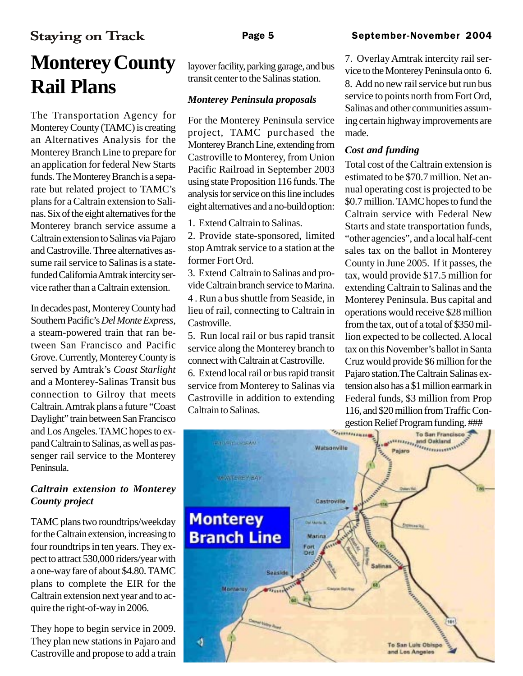### **Staying on Track**

### Page 5 September-November 2004

# **Monterey County Rail Plans**

The Transportation Agency for Monterey County (TAMC) is creating an Alternatives Analysis for the Monterey Branch Line to prepare for an application for federal New Starts funds. The Monterey Branch is a separate but related project to TAMC's plans for a Caltrain extension to Salinas. Six of the eight alternatives for the Monterey branch service assume a Caltrain extension to Salinas via Pajaro and Castroville. Three alternatives assume rail service to Salinas is a statefunded California Amtrak intercity service rather than a Caltrain extension.

In decades past, Monterey County had Southern Pacific's *Del Monte Express*, a steam-powered train that ran between San Francisco and Pacific Grove. Currently, Monterey County is served by Amtrak's *Coast Starlight* and a Monterey-Salinas Transit bus connection to Gilroy that meets Caltrain. Amtrak plans a future "Coast Daylight" train between San Francisco and Los Angeles. TAMC hopes to expand Caltrain to Salinas, as well as passenger rail service to the Monterey Peninsula.

### *Caltrain extension to Monterey County project*

TAMC plans two roundtrips/weekday for the Caltrain extension, increasing to four roundtrips in ten years. They expect to attract 530,000 riders/year with a one-way fare of about \$4.80. TAMC plans to complete the EIR for the Caltrain extension next year and to acquire the right-of-way in 2006.

They hope to begin service in 2009. They plan new stations in Pajaro and Castroville and propose to add a train layover facility, parking garage, and bus transit center to the Salinas station.

### *Monterey Peninsula proposals*

For the Monterey Peninsula service project, TAMC purchased the Monterey Branch Line, extending from Castroville to Monterey, from Union Pacific Railroad in September 2003 using state Proposition 116 funds. The analysis for service on this line includes eight alternatives and a no-build option:

1. Extend Caltrain to Salinas.

2. Provide state-sponsored, limited stop Amtrak service to a station at the former Fort Ord.

3. Extend Caltrain to Salinas and provide Caltrain branch service to Marina. 4 . Run a bus shuttle from Seaside, in lieu of rail, connecting to Caltrain in Castroville.

5. Run local rail or bus rapid transit service along the Monterey branch to connect with Caltrain at Castroville.

6. Extend local rail or bus rapid transit service from Monterey to Salinas via Castroville in addition to extending Caltrain to Salinas.

7. Overlay Amtrak intercity rail service to the Monterey Peninsula onto 6. 8. Add no new rail service but run bus service to points north from Fort Ord, Salinas and other communities assuming certain highway improvements are made.

### *Cost and funding*

Total cost of the Caltrain extension is estimated to be \$70.7 million. Net annual operating cost is projected to be \$0.7 million. TAMC hopes to fund the Caltrain service with Federal New Starts and state transportation funds, "other agencies", and a local half-cent sales tax on the ballot in Monterey County in June 2005. If it passes, the tax, would provide \$17.5 million for extending Caltrain to Salinas and the Monterey Peninsula. Bus capital and operations would receive \$28 million from the tax, out of a total of \$350 million expected to be collected. A local tax on this November's ballot in Santa Cruz would provide \$6 million for the Pajaro station.The Caltrain Salinas extension also has a \$1 million earmark in Federal funds, \$3 million from Prop 116, and \$20 million from Traffic Congestion Relief Program funding. ###